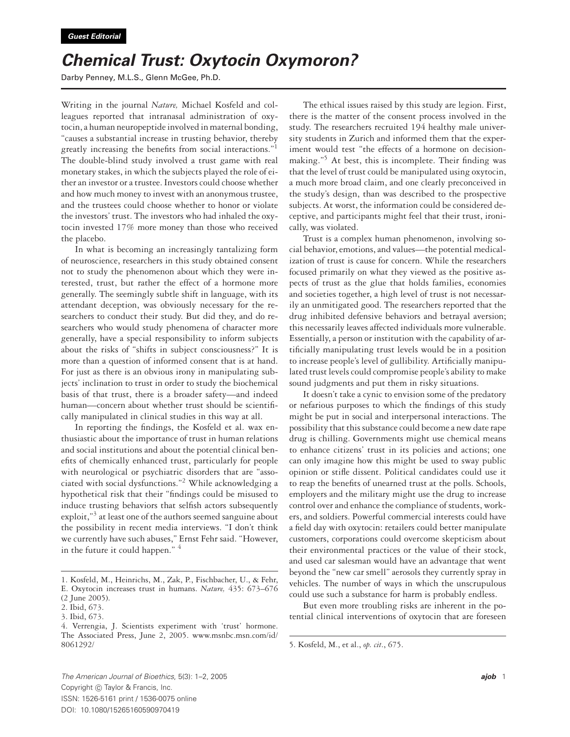## *Chemical Trust: Oxytocin Oxymoron?*

Darby Penney, M.L.S., Glenn McGee, Ph.D.

Writing in the journal *Nature,* Michael Kosfeld and colleagues reported that intranasal administration of oxytocin, a human neuropeptide involved in maternal bonding, "causes a substantial increase in trusting behavior, thereby greatly increasing the benefits from social interactions."1 The double-blind study involved a trust game with real monetary stakes, in which the subjects played the role of either an investor or a trustee. Investors could choose whether and how much money to invest with an anonymous trustee, and the trustees could choose whether to honor or violate the investors' trust. The investors who had inhaled the oxytocin invested 17% more money than those who received the placebo.

In what is becoming an increasingly tantalizing form of neuroscience, researchers in this study obtained consent not to study the phenomenon about which they were interested, trust, but rather the effect of a hormone more generally. The seemingly subtle shift in language, with its attendant deception, was obviously necessary for the researchers to conduct their study. But did they, and do researchers who would study phenomena of character more generally, have a special responsibility to inform subjects about the risks of "shifts in subject consciousness?" It is more than a question of informed consent that is at hand. For just as there is an obvious irony in manipulating subjects' inclination to trust in order to study the biochemical basis of that trust, there is a broader safety—and indeed human—concern about whether trust should be scientifically manipulated in clinical studies in this way at all.

In reporting the findings, the Kosfeld et al. wax enthusiastic about the importance of trust in human relations and social institutions and about the potential clinical benefits of chemically enhanced trust, particularly for people with neurological or psychiatric disorders that are "associated with social dysfunctions."2 While acknowledging a hypothetical risk that their "findings could be misused to induce trusting behaviors that selfish actors subsequently exploit,"<sup>3</sup> at least one of the authors seemed sanguine about the possibility in recent media interviews. "I don't think we currently have such abuses," Ernst Fehr said. "However, in the future it could happen."  $4$ 

The ethical issues raised by this study are legion. First, there is the matter of the consent process involved in the study. The researchers recruited 194 healthy male university students in Zurich and informed them that the experiment would test "the effects of a hormone on decisionmaking."<sup>5</sup> At best, this is incomplete. Their finding was that the level of trust could be manipulated using oxytocin, a much more broad claim, and one clearly preconceived in the study's design, than was described to the prospective subjects. At worst, the information could be considered deceptive, and participants might feel that their trust, ironically, was violated.

Trust is a complex human phenomenon, involving social behavior, emotions, and values—the potential medicalization of trust is cause for concern. While the researchers focused primarily on what they viewed as the positive aspects of trust as the glue that holds families, economies and societies together, a high level of trust is not necessarily an unmitigated good. The researchers reported that the drug inhibited defensive behaviors and betrayal aversion; this necessarily leaves affected individuals more vulnerable. Essentially, a person or institution with the capability of artificially manipulating trust levels would be in a position to increase people's level of gullibility. Artificially manipulated trust levels could compromise people's ability to make sound judgments and put them in risky situations.

It doesn't take a cynic to envision some of the predatory or nefarious purposes to which the findings of this study might be put in social and interpersonal interactions. The possibility that this substance could become a new date rape drug is chilling. Governments might use chemical means to enhance citizens' trust in its policies and actions; one can only imagine how this might be used to sway public opinion or stifle dissent. Political candidates could use it to reap the benefits of unearned trust at the polls. Schools, employers and the military might use the drug to increase control over and enhance the compliance of students, workers, and soldiers. Powerful commercial interests could have a field day with oxytocin: retailers could better manipulate customers, corporations could overcome skepticism about their environmental practices or the value of their stock, and used car salesman would have an advantage that went beyond the "new car smell" aerosols they currently spray in vehicles. The number of ways in which the unscrupulous could use such a substance for harm is probably endless.

But even more troubling risks are inherent in the potential clinical interventions of oxytocin that are foreseen

*The American Journal of Bioethics*, 5(3): 1–2, 2005 *ajob* 1 Copyright (c) Taylor & Francis, Inc. ISSN: 1526-5161 print / 1536-0075 online DOI: 10.1080/15265160590970419

<sup>1.</sup> Kosfeld, M., Heinrichs, M., Zak, P., Fischbacher, U., & Fehr, E. Oxytocin increases trust in humans. *Nature,* 435: 673–676

<sup>(2</sup> June 2005).

<sup>2.</sup> Ibid, 673.

<sup>3.</sup> Ibid, 673.

<sup>4.</sup> Verrengia, J. Scientists experiment with 'trust' hormone. The Associated Press, June 2, 2005. www.msnbc.msn.com/id/ 8061292/

<sup>5.</sup> Kosfeld, M., et al., *op. cit*., 675.